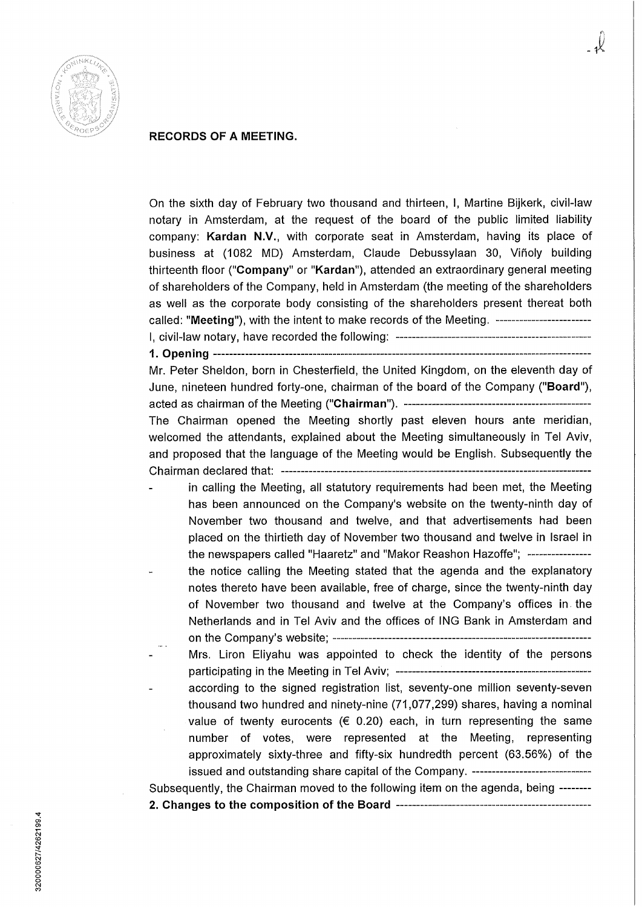

## **RECORDS OF A MEETING.**

On the sixth day of February two thousand and thirteen, I, Martine Bijkerk, civil-law notary in Amsterdam, at the request of the board of the public limited liability company: **Kardan N.V.,** with corporate seat in Amsterdam, having its place of business at (1082 MD) Amsterdam, Claude Debussylaan 30, Viñoly building thirteenth floor **("Company"** or **"Kardan"),** attended an extraordinary general meeting of shareholders of the Company, held in Amsterdam (the meeting of the shareholders as well as the corporate body consisting of the shareholders present thereat both called: "Meeting"), with the intent to make records of the Meeting. --------------------------

I, civil-law notary, have recorded the following: **1. Opening**  

Mr. Peter Sheldon, born in Chesterfield, the United Kingdom, on the eleventh day of June, nineteen hundred forty-one, chairman of the board of the Company **("Board"),**  acted as chairman ofthe Meeting **("Chairman").**  The Chairman opened the Meeting shortly past eleven hours ante meridian, welcomed the attendants, explained about the Meeting simultaneously in Tel Aviv, and proposed that the language of the Meeting would be English. Subsequently the Chairman declared that:

- in calling the Meeting, all statutory requirements had been met, the Meeting has been announced on the Company's website on the twenty-ninth day of November two thousand and twelve, and that advertisements had been placed on the thirtieth day of November two thousand and twelve in Israel in the newspapers called "Haaretz" and "Makor Reashon Hazoffe";
- the notice calling the Meeting stated that the agenda and the explanatory notes thereto have been available, free of charge, since the twenty-ninth day of November two thousand and twelve at the Company's offices in the Netheriands and in Tel Aviv and the offices of ING Bank in Amsterdam and on the Company's website;
	- Mrs. Liron Eliyahu was appointed to check the identity of the persons participating in the Meeting in Tel Aviv;
- according to the signed registration list, seventy-one million seventy-seven thousand two hundred and ninety-nine (71,077,299) shares, having a nominal value of twenty eurocents ( $\epsilon$  0.20) each, in turn representing the same number of votes, were represented at the Meeting, representing approximately sixty-three and fifty-six hundredth percent (63.56%) of the issued and outstanding share capital of the Company. ----------------------------Subsequently, the Chairman moved to the following item on the agenda, being

**2. Changes to the composition of the Board**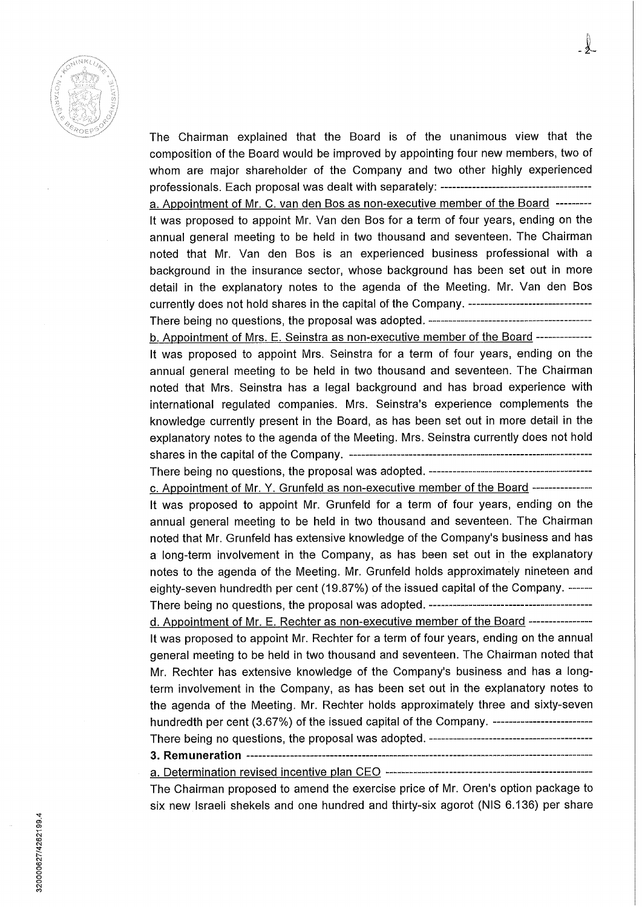

The Chairman explained that the Board is of the unanimous view that the composition of the Board would be improved by appointing four new members, two of whom are major shareholder of the Company and two other highly experienced professionals. Each proposai was dealt with separately:

a. Appointment of Mr. C. van den Bos as non-executive member of the Board It was proposed to appoint Mr. Van den Bos for a term of four years, ending on the annual general meeting to be held in two thousand and seventeen. The Chairman noted that Mr. Van den Bos is an experienced business professional with a background in the insurance sector, whose background has been set out in more detail in the explanatory notes to the agenda of the Meeting. Mr. Van den Bos currently does not hold shares in the capital of the Company. ----------------------------------There being no questions, the proposai was adopted.

b. Appointment of Mrs. E. Seinstra as non-executive member of the Board --------------

It was proposed to appoint Mrs. Seinstra for a term of four years, ending on the annual general meeting to be held in two thousand and seventeen. The Chairman noted that Mrs. Seinstra has a legal background and has broad experience with international regulated companies. Mrs. Seinstra's experience complements the knowiedge currently present in the Board, as has been set out in more detail in the explanatory notes to the agenda of the Meeting. Mrs. Seinstra currently does not hold shares in the capital ofthe Company.

There being no questions, the proposai was adopted.

c. Appointment of Mr. Y. Grunfeld as non-executive member of the Board --------------

It was proposed to appoint Mr. Grunfeld for a term of four years, ending on the annual general meeting to be held in two thousand and seventeen. The Chairman noted that Mr. Grunfeld has extensive knowiedge of the Company's business and has a long-term involvement in the Company, as has been set out in the explanatory notes to the agenda of the Meeting. Mr. Grunfeld holds approximately nineteen and eighty-seven hundredth per cent (19.87%) of the issued capital of the Company. ------There being no questions, the proposai was adopted.

d. Appointment of Mr. E. Rechter as non-executive member of the Board ----------------It was proposed to appoint Mr. Rechter for a term of four years, ending on the annual general meeting to be held in two thousand and seventeen. The Chairman noted that Mr. Rechter has extensive knowiedge of the Company's business and has a longterm involvement in the Company, as has been set out in the explanatory notes to the agenda of the Meeting. Mr. Rechter holds approximately three and sixty-seven hundredth per cent (3.67%) of the issued capital of the Company. ---------------------------

There being no questions, the proposai was adopted.

**3. Remuneration** 

a. Determination revised incentive plan CEO The Chairman proposed to amend the exercise price of Mr. Oren's option package to

six new Israëli shekels and one hundred and thirty-six agorot (NIS 6.136) per share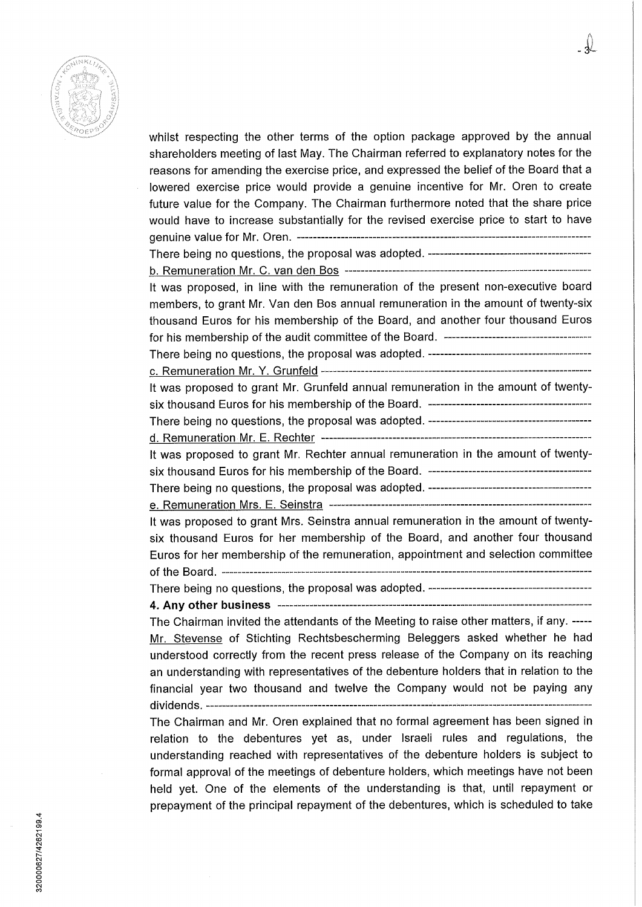

whilst respecting the other terms of the option package approved by the annual shareholders meeting of last May. The Chairman referred to explanatory notes for the reasons for amending the exercise price, and expressed the belief of the Board that a lowered exercise price would provide a genuine incentive for Mr. Oren to create future value for the Company. The Chairman furthermore noted that the share price would have to increase substantialiy for the revised exercise price to start to have genuine value for Mr. Oren. There being no questions, the proposai was adopted. b. Remuneration Mr. C. van den Bos It was proposed, in line with the remuneration of the present non-executive board members, to grant Mr. Van den Bos annual remuneration in the amount of twenty-six thousand Euros for his membership of the Board, and another four thousand Euros for his membership of the audit committee of the Board. There being no questions, the proposai was adopted. c. Remuneration Mr. Y. Grunfeld It was proposed to grant Mr. Grunfeld annual remuneration in the amount of twentysix thousand Euros for his membership of the Board. There being no questions, the proposai was adopted. d. Remuneration Mr. E. Rechter it was proposed to grant Mr. Rechter annual remuneration in the amount of twentysix thousand Euros for his membership of the Board. There being no questions, the proposai was adopted. e. Remuneration Mrs. E. Seinstra It was proposed to grant Mrs. Seinstra annual remuneration in the amount of twentysix thousand Euros for her membership of the Board, and another four thousand Euros for her membership ofthe remuneration, appointment and selection committee ofthe Board. There being no questions, the proposai was adopted. **4. Any other business**  The Chairman invited the attendants of the Meeting to raise other matters, if any. Mr. Stevense of Stichting Rechtsbescherming Beleggers asked whether he had understood correctly from the recent press release of the Company on its reaching an understanding with representatives of the debenture holders that in relation to the financial year two thousand and twelve the Company would not be paying any dividends. —— The Chairman and Mr. Oren explained that no formal agreement has been signed in relation to the debentures yet as, under Israeli rules and regulations, the understanding reached with representatives of the debenture holders is subject to formal approval of the meetings of debenture holders, which meetings have not been held yet. One of the elements of the understanding is that, until repayment or prepayment of the principal repayment of the debentures, which is scheduled to take